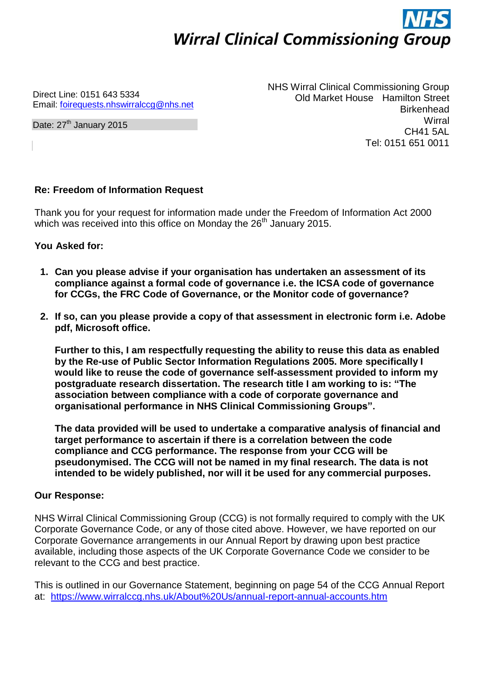## **Wirral Clinical Commissioning Group**

Direct Line: 0151 643 5334 Email: [foirequests.nhswirralccg@nhs.net](mailto:foirequests.nhswirralccg@nhs.net)

Date: 27<sup>th</sup> January 2015

NHS Wirral Clinical Commissioning Group Old Market House Hamilton Street Birkenhead **Wirral** CH41 5AL Tel: 0151 651 0011

## **Re: Freedom of Information Request**

Thank you for your request for information made under the Freedom of Information Act 2000 which was received into this office on Monday the 26<sup>th</sup> January 2015.

**You Asked for:**

- **1. Can you please advise if your organisation has undertaken an assessment of its compliance against a formal code of governance i.e. the ICSA code of governance for CCGs, the FRC Code of Governance, or the Monitor code of governance?**
- **2. If so, can you please provide a copy of that assessment in electronic form i.e. Adobe pdf, Microsoft office.**

**Further to this, I am respectfully requesting the ability to reuse this data as enabled by the Re-use of Public Sector Information Regulations 2005. More specifically I would like to reuse the code of governance self-assessment provided to inform my postgraduate research dissertation. The research title I am working to is: "The association between compliance with a code of corporate governance and organisational performance in NHS Clinical Commissioning Groups".**

**The data provided will be used to undertake a comparative analysis of financial and target performance to ascertain if there is a correlation between the code compliance and CCG performance. The response from your CCG will be pseudonymised. The CCG will not be named in my final research. The data is not intended to be widely published, nor will it be used for any commercial purposes.**

## **Our Response:**

NHS Wirral Clinical Commissioning Group (CCG) is not formally required to comply with the UK Corporate Governance Code, or any of those cited above. However, we have reported on our Corporate Governance arrangements in our Annual Report by drawing upon best practice available, including those aspects of the UK Corporate Governance Code we consider to be relevant to the CCG and best practice.

This is outlined in our Governance Statement, beginning on page 54 of the CCG Annual Report at: <https://www.wirralccg.nhs.uk/About%20Us/annual-report-annual-accounts.htm>